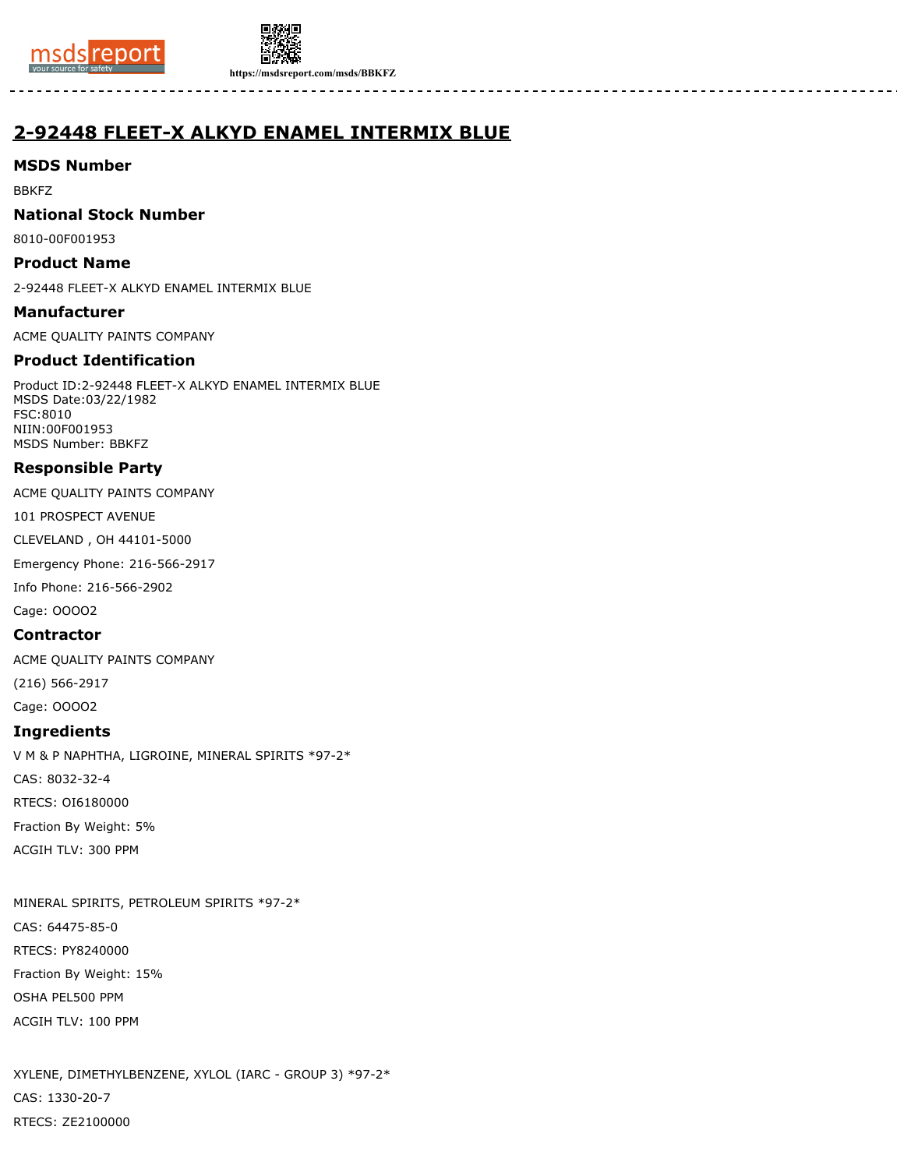



**https://msdsreport.com/msds/BBKFZ**

# **2-92448 FLEET-X ALKYD ENAMEL INTERMIX BLUE**

# **MSDS Number**

BBKFZ

## **National Stock Number**

8010-00F001953

## **Product Name**

2-92448 FLEET-X ALKYD ENAMEL INTERMIX BLUE

## **Manufacturer**

ACME QUALITY PAINTS COMPANY

# **Product Identification**

Product ID:2-92448 FLEET-X ALKYD ENAMEL INTERMIX BLUE MSDS Date:03/22/1982 FSC:8010 NIIN:00F001953 MSDS Number: BBKFZ

# **Responsible Party**

ACME QUALITY PAINTS COMPANY

101 PROSPECT AVENUE

CLEVELAND , OH 44101-5000

Emergency Phone: 216-566-2917

Info Phone: 216-566-2902

Cage: OOOO2

#### **Contractor**

ACME QUALITY PAINTS COMPANY

(216) 566-2917

Cage: OOOO2

## **Ingredients**

V M & P NAPHTHA, LIGROINE, MINERAL SPIRITS \*97-2\* CAS: 8032-32-4 RTECS: OI6180000 Fraction By Weight: 5% ACGIH TLV: 300 PPM

MINERAL SPIRITS, PETROLEUM SPIRITS \*97-2\* CAS: 64475-85-0 RTECS: PY8240000 Fraction By Weight: 15% OSHA PEL500 PPM ACGIH TLV: 100 PPM

XYLENE, DIMETHYLBENZENE, XYLOL (IARC - GROUP 3) \*97-2\* CAS: 1330-20-7 RTECS: ZE2100000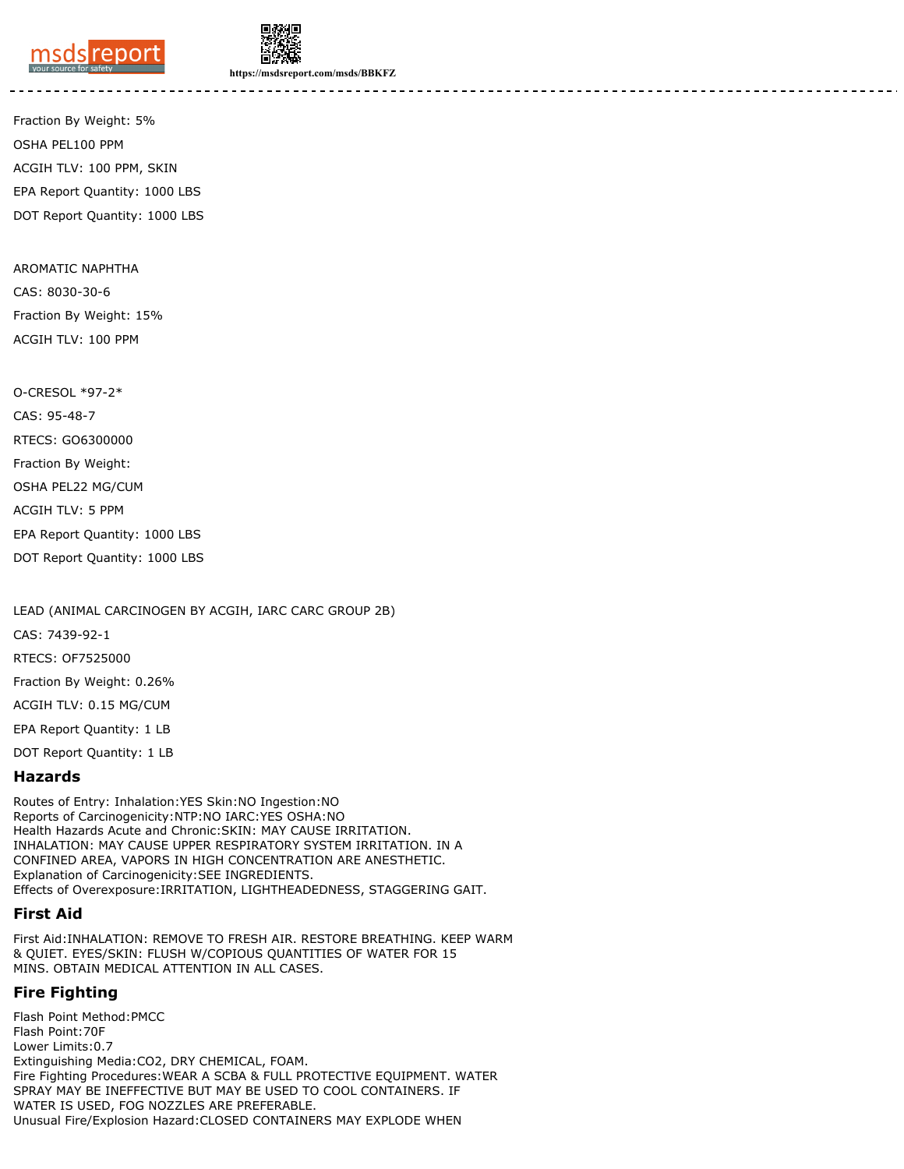



**https://msdsreport.com/msds/BBKFZ**

Fraction By Weight: 5% OSHA PEL100 PPM ACGIH TLV: 100 PPM, SKIN EPA Report Quantity: 1000 LBS DOT Report Quantity: 1000 LBS

AROMATIC NAPHTHA CAS: 8030-30-6 Fraction By Weight: 15% ACGIH TLV: 100 PPM

O-CRESOL \*97-2\* CAS: 95-48-7 RTECS: GO6300000 Fraction By Weight: OSHA PEL22 MG/CUM ACGIH TLV: 5 PPM EPA Report Quantity: 1000 LBS DOT Report Quantity: 1000 LBS

LEAD (ANIMAL CARCINOGEN BY ACGIH, IARC CARC GROUP 2B)

CAS: 7439-92-1

RTECS: OF7525000

Fraction By Weight: 0.26%

ACGIH TLV: 0.15 MG/CUM

EPA Report Quantity: 1 LB

DOT Report Quantity: 1 LB

#### **Hazards**

Routes of Entry: Inhalation:YES Skin:NO Ingestion:NO Reports of Carcinogenicity:NTP:NO IARC:YES OSHA:NO Health Hazards Acute and Chronic:SKIN: MAY CAUSE IRRITATION. INHALATION: MAY CAUSE UPPER RESPIRATORY SYSTEM IRRITATION. IN A CONFINED AREA, VAPORS IN HIGH CONCENTRATION ARE ANESTHETIC. Explanation of Carcinogenicity:SEE INGREDIENTS. Effects of Overexposure:IRRITATION, LIGHTHEADEDNESS, STAGGERING GAIT.

#### **First Aid**

First Aid:INHALATION: REMOVE TO FRESH AIR. RESTORE BREATHING. KEEP WARM & QUIET. EYES/SKIN: FLUSH W/COPIOUS QUANTITIES OF WATER FOR 15 MINS. OBTAIN MEDICAL ATTENTION IN ALL CASES.

#### **Fire Fighting**

Flash Point Method:PMCC Flash Point:70F Lower Limits:0.7 Extinguishing Media:CO2, DRY CHEMICAL, FOAM. Fire Fighting Procedures:WEAR A SCBA & FULL PROTECTIVE EQUIPMENT. WATER SPRAY MAY BE INEFFECTIVE BUT MAY BE USED TO COOL CONTAINERS. IF WATER IS USED, FOG NOZZLES ARE PREFERABLE. Unusual Fire/Explosion Hazard:CLOSED CONTAINERS MAY EXPLODE WHEN